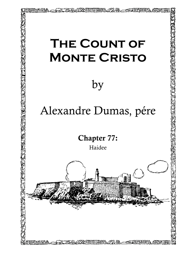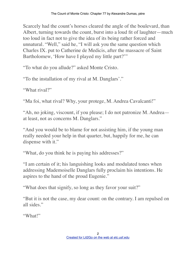Scarcely had the count's horses cleared the angle of the boulevard, than Albert, turning towards the count, burst into a loud fit of laughter—much too loud in fact not to give the idea of its being rather forced and unnatural. "Well," said he, "I will ask you the same question which Charles IX. put to Catherine de Medicis, after the massacre of Saint Bartholomew, 'How have I played my little part?'"

"To what do you allude?" asked Monte Cristo.

"To the installation of my rival at M. Danglars'."

"What rival?"

"Ma foi, what rival? Why, your protege, M. Andrea Cavalcanti!"

"Ah, no joking, viscount, if you please; I do not patronize M. Andrea at least, not as concerns M. Danglars."

"And you would be to blame for not assisting him, if the young man really needed your help in that quarter, but, happily for me, he can dispense with it."

"What, do you think he is paying his addresses?"

"I am certain of it; his languishing looks and modulated tones when addressing Mademoiselle Danglars fully proclaim his intentions. He aspires to the hand of the proud Eugenie."

"What does that signify, so long as they favor your suit?"

"But it is not the case, my dear count: on the contrary. I am repulsed on all sides."

"What!"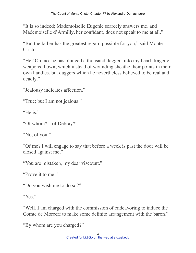"It is so indeed; Mademoiselle Eugenie scarcely answers me, and Mademoiselle d'Armilly, her confidant, does not speak to me at all."

"But the father has the greatest regard possible for you," said Monte Cristo.

"He? Oh, no, he has plunged a thousand daggers into my heart, tragedy– weapons, I own, which instead of wounding sheathe their points in their own handles, but daggers which he nevertheless believed to be real and deadly."

"Jealousy indicates affection."

"True; but I am not jealous."

"He is."

```
"Of whom?—of Debray?"
```
"No, of you."

"Of me? I will engage to say that before a week is past the door will be closed against me."

"You are mistaken, my dear viscount."

"Prove it to me."

"Do you wish me to do so?"

"Yes."

"Well, I am charged with the commission of endeavoring to induce the Comte de Morcerf to make some definite arrangement with the baron."

"By whom are you charged?"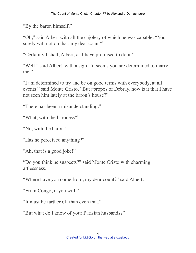"By the baron himself."

"Oh," said Albert with all the cajolery of which he was capable. "You surely will not do that, my dear count?"

"Certainly I shall, Albert, as I have promised to do it."

"Well," said Albert, with a sigh, "it seems you are determined to marry me."

"I am determined to try and be on good terms with everybody, at all events," said Monte Cristo. "But apropos of Debray, how is it that I have not seen him lately at the baron's house?"

"There has been a misunderstanding."

"What, with the baroness?"

"No, with the baron."

"Has he perceived anything?"

"Ah, that is a good joke!"

"Do you think he suspects?" said Monte Cristo with charming artlessness.

"Where have you come from, my dear count?" said Albert.

"From Congo, if you will."

"It must be farther off than even that."

"But what do I know of your Parisian husbands?"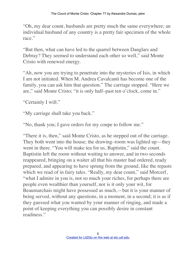"Oh, my dear count, husbands are pretty much the same everywhere; an individual husband of any country is a pretty fair specimen of the whole race."

"But then, what can have led to the quarrel between Danglars and Debray? They seemed to understand each other so well," said Monte Cristo with renewed energy.

"Ah, now you are trying to penetrate into the mysteries of Isis, in which I am not initiated. When M. Andrea Cavalcanti has become one of the family, you can ask him that question." The carriage stopped. "Here we are," said Monte Cristo; "it is only half–past ten o'clock, come in."

"Certainly I will."

"My carriage shall take you back."

"No, thank you; I gave orders for my coupe to follow me."

"There it is, then," said Monte Cristo, as he stepped out of the carriage. They both went into the house; the drawing–room was lighted up—they went in there. "You will make tea for us, Baptistin," said the count. Baptistin left the room without waiting to answer, and in two seconds reappeared, bringing on a waiter all that his master had ordered, ready prepared, and appearing to have sprung from the ground, like the repasts which we read of in fairy tales. "Really, my dear count," said Morcerf, "what I admire in you is, not so much your riches, for perhaps there are people even wealthier than yourself, nor is it only your wit, for Beaumarchais might have possessed as much,—but it is your manner of being served, without any questions, in a moment, in a second; it is as if they guessed what you wanted by your manner of ringing, and made a point of keeping everything you can possibly desire in constant readiness."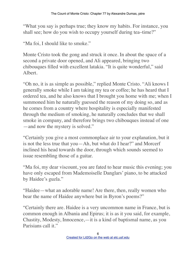"What you say is perhaps true; they know my habits. For instance, you shall see; how do you wish to occupy yourself during tea–time?"

"Ma foi, I should like to smoke."

Monte Cristo took the gong and struck it once. In about the space of a second a private door opened, and Ali appeared, bringing two chibouques filled with excellent latakia. "It is quite wonderful," said Albert.

"Oh no, it is as simple as possible," replied Monte Cristo. "Ali knows I generally smoke while I am taking my tea or coffee; he has heard that I ordered tea, and he also knows that I brought you home with me; when I summoned him he naturally guessed the reason of my doing so, and as he comes from a country where hospitality is especially manifested through the medium of smoking, he naturally concludes that we shall smoke in company, and therefore brings two chibouques instead of one —and now the mystery is solved."

"Certainly you give a most commonplace air to your explanation, but it is not the less true that you—Ah, but what do I hear?" and Morcerf inclined his head towards the door, through which sounds seemed to issue resembling those of a guitar.

"Ma foi, my dear viscount, you are fated to hear music this evening; you have only escaped from Mademoiselle Danglars' piano, to be attacked by Haidee's guzla."

"Haidee—what an adorable name! Are there, then, really women who bear the name of Haidee anywhere but in Byron's poems?"

"Certainly there are. Haidee is a very uncommon name in France, but is common enough in Albania and Epirus; it is as it you said, for example, Chastity, Modesty, Innocence,—it is a kind of baptismal name, as you Parisians call it."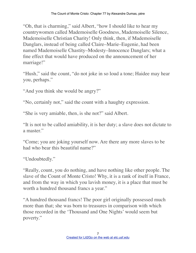"Oh, that is charming," said Albert, "how I should like to hear my countrywomen called Mademoiselle Goodness, Mademoiselle Silence, Mademoiselle Christian Charity! Only think, then, if Mademoiselle Danglars, instead of being called Claire–Marie–Eugenie, had been named Mademoiselle Chastity–Modesty–Innocence Danglars; what a fine effect that would have produced on the announcement of her marriage!"

"Hush," said the count, "do not joke in so loud a tone; Haidee may hear you, perhaps."

"And you think she would be angry?"

"No, certainly not," said the count with a haughty expression.

"She is very amiable, then, is she not?" said Albert.

"It is not to be called amiability, it is her duty; a slave does not dictate to a master."

"Come; you are joking yourself now. Are there any more slaves to be had who bear this beautiful name?"

"Undoubtedly."

"Really, count, you do nothing, and have nothing like other people. The slave of the Count of Monte Cristo! Why, it is a rank of itself in France, and from the way in which you lavish money, it is a place that must be worth a hundred thousand francs a year."

"A hundred thousand francs! The poor girl originally possessed much more than that; she was born to treasures in comparison with which those recorded in the 'Thousand and One Nights' would seem but poverty."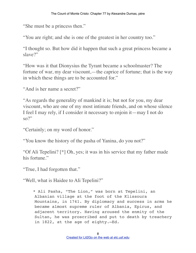"She must be a princess then."

"You are right; and she is one of the greatest in her country too."

"I thought so. But how did it happen that such a great princess became a slave?"

"How was it that Dionysius the Tyrant became a schoolmaster? The fortune of war, my dear viscount,—the caprice of fortune; that is the way in which these things are to be accounted for."

"And is her name a secret?"

"As regards the generality of mankind it is; but not for you, my dear viscount, who are one of my most intimate friends, and on whose silence I feel I may rely, if I consider it necessary to enjoin it—may I not do  $\mathrm{so} \mathcal{V}^*$ 

"Certainly; on my word of honor."

"You know the history of the pasha of Yanina, do you not?"

"Of Ali Tepelini? [\*] Oh, yes; it was in his service that my father made his fortune."

"True, I had forgotten that."

"Well, what is Haidee to Ali Tepelini?"

 \* Ali Pasha, "The Lion," was born at Tepelini, an Albanian village at the foot of the Klissoura Mountains, in 1741. By diplomacy and success in arms he became almost supreme ruler of Albania, Epirus, and adjacent territory. Having aroused the enmity of the Sultan, he was proscribed and put to death by treachery in 1822, at the age of eighty.—Ed.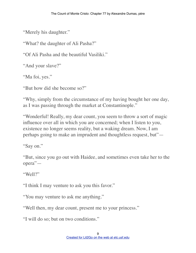"Merely his daughter."

"What? the daughter of Ali Pasha?"

"Of Ali Pasha and the beautiful Vasiliki."

"And your slave?"

"Ma foi, yes."

"But how did she become so?"

"Why, simply from the circumstance of my having bought her one day, as I was passing through the market at Constantinople."

"Wonderful! Really, my dear count, you seem to throw a sort of magic influence over all in which you are concerned; when I listen to you, existence no longer seems reality, but a waking dream. Now, I am perhaps going to make an imprudent and thoughtless request, but"—

"Say on."

"But, since you go out with Haidee, and sometimes even take her to the opera"—

"Well?"

"I think I may venture to ask you this favor."

"You may venture to ask me anything."

"Well then, my dear count, present me to your princess."

"I will do so; but on two conditions."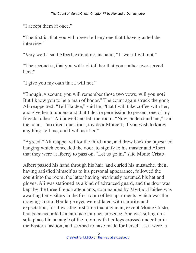"I accept them at once."

"The first is, that you will never tell any one that I have granted the interview."

"Very well," said Albert, extending his hand; "I swear I will not."

"The second is, that you will not tell her that your father ever served hers."

"I give you my oath that I will not."

"Enough, viscount; you will remember those two vows, will you not? But I know you to be a man of honor." The count again struck the gong. Ali reappeared. "Tell Haidee," said he, "that I will take coffee with her, and give her to understand that I desire permission to present one of my friends to her." Ali bowed and left the room. "Now, understand me," said the count, "no direct questions, my dear Morcerf; if you wish to know anything, tell me, and I will ask her."

"Agreed." Ali reappeared for the third time, and drew back the tapestried hanging which concealed the door, to signify to his master and Albert that they were at liberty to pass on. "Let us go in," said Monte Cristo.

Albert passed his hand through his hair, and curled his mustache, then, having satisfied himself as to his personal appearance, followed the count into the room, the latter having previously resumed his hat and gloves. Ali was stationed as a kind of advanced guard, and the door was kept by the three French attendants, commanded by Myrtho. Haidee was awaiting her visitors in the first room of her apartments, which was the drawing–room. Her large eyes were dilated with surprise and expectation, for it was the first time that any man, except Monte Cristo, had been accorded an entrance into her presence. She was sitting on a sofa placed in an angle of the room, with her legs crossed under her in the Eastern fashion, and seemed to have made for herself, as it were, a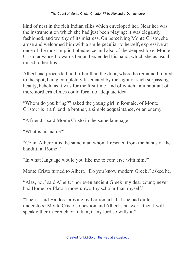kind of nest in the rich Indian silks which enveloped her. Near her was the instrument on which she had just been playing; it was elegantly fashioned, and worthy of its mistress. On perceiving Monte Cristo, she arose and welcomed him with a smile peculiar to herself, expressive at once of the most implicit obedience and also of the deepest love. Monte Cristo advanced towards her and extended his hand, which she as usual raised to her lips.

Albert had proceeded no farther than the door, where he remained rooted to the spot, being completely fascinated by the sight of such surpassing beauty, beheld as it was for the first time, and of which an inhabitant of more northern climes could form no adequate idea.

"Whom do you bring?" asked the young girl in Romaic, of Monte Cristo; "is it a friend, a brother, a simple acquaintance, or an enemy."

"A friend," said Monte Cristo in the same language.

"What is his name?"

"Count Albert; it is the same man whom I rescued from the hands of the banditti at Rome."

"In what language would you like me to converse with him?"

Monte Cristo turned to Albert. "Do you know modern Greek," asked he.

"Alas, no," said Albert; "nor even ancient Greek, my dear count; never had Homer or Plato a more unworthy scholar than myself."

"Then," said Haidee, proving by her remark that she had quite understood Monte Cristo's question and Albert's answer, "then I will speak either in French or Italian, if my lord so wills it."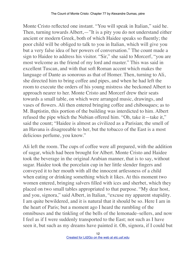Monte Cristo reflected one instant. "You will speak in Italian," said he. Then, turning towards Albert,—"It is a pity you do not understand either ancient or modern Greek, both of which Haidee speaks so fluently; the poor child will be obliged to talk to you in Italian, which will give you but a very false idea of her powers of conversation." The count made a sign to Haidee to address his visitor. "Sir," she said to Morcerf, "you are most welcome as the friend of my lord and master." This was said in excellent Tuscan, and with that soft Roman accent which makes the language of Dante as sonorous as that of Homer. Then, turning to Ali, she directed him to bring coffee and pipes, and when he had left the room to execute the orders of his young mistress she beckoned Albert to approach nearer to her. Monte Cristo and Morcerf drew their seats towards a small table, on which were arranged music, drawings, and vases of flowers. Ali then entered bringing coffee and chibouques; as to M. Baptistin, this portion of the building was interdicted to him. Albert refused the pipe which the Nubian offered him. "Oh, take it—take it," said the count; "Haidee is almost as civilized as a Parisian; the smell of an Havana is disagreeable to her, but the tobacco of the East is a most delicious perfume, you know."

Ali left the room. The cups of coffee were all prepared, with the addition of sugar, which had been brought for Albert. Monte Cristo and Haidee took the beverage in the original Arabian manner, that is to say, without sugar. Haidee took the porcelain cup in her little slender fingers and conveyed it to her mouth with all the innocent artlessness of a child when eating or drinking something which it likes. At this moment two women entered, bringing salvers filled with ices and sherbet, which they placed on two small tables appropriated to that purpose. "My dear host, and you, signora," said Albert, in Italian, "excuse my apparent stupidity. I am quite bewildered, and it is natural that it should be so. Here I am in the heart of Paris; but a moment ago I heard the rumbling of the omnibuses and the tinkling of the bells of the lemonade–sellers, and now I feel as if I were suddenly transported to the East; not such as I have seen it, but such as my dreams have painted it. Oh, signora, if I could but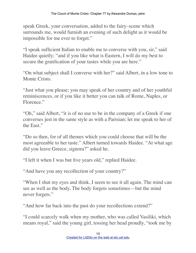speak Greek, your conversation, added to the fairy–scene which surrounds me, would furnish an evening of such delight as it would be impossible for me ever to forget."

"I speak sufficient Italian to enable me to converse with you, sir," said Haidee quietly; "and if you like what is Eastern, I will do my best to secure the gratification of your tastes while you are here."

"On what subject shall I converse with her?" said Albert, in a low tone to Monte Cristo.

"Just what you please; you may speak of her country and of her youthful reminiscences, or if you like it better you can talk of Rome, Naples, or Florence."

"Oh," said Albert, "it is of no use to be in the company of a Greek if one converses just in the same style as with a Parisian; let me speak to her of the East."

"Do so then, for of all themes which you could choose that will be the most agreeable to her taste." Albert turned towards Haidee. "At what age did you leave Greece, signora?" asked he.

"I left it when I was but five years old," replied Haidee.

"And have you any recollection of your country?"

"When I shut my eyes and think, I seem to see it all again. The mind can see as well as the body. The body forgets sometimes—but the mind never forgets."

"And how far back into the past do your recollections extend?"

"I could scarcely walk when my mother, who was called Vasiliki, which means royal," said the young girl, tossing her head proudly, "took me by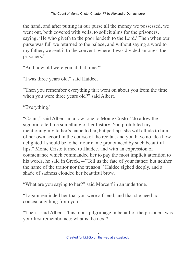the hand, and after putting in our purse all the money we possessed, we went out, both covered with veils, to solicit alms for the prisoners, saying, 'He who giveth to the poor lendeth to the Lord.' Then when our purse was full we returned to the palace, and without saying a word to my father, we sent it to the convent, where it was divided amongst the prisoners."

"And how old were you at that time?"

"I was three years old," said Haidee.

"Then you remember everything that went on about you from the time when you were three years old?" said Albert.

"Everything."

"Count," said Albert, in a low tone to Monte Cristo, "do allow the signora to tell me something of her history. You prohibited my mentioning my father's name to her, but perhaps she will allude to him of her own accord in the course of the recital, and you have no idea how delighted I should be to hear our name pronounced by such beautiful lips." Monte Cristo turned to Haidee, and with an expression of countenance which commanded her to pay the most implicit attention to his words, he said in Greek,—"Tell us the fate of your father; but neither the name of the traitor nor the treason." Haidee sighed deeply, and a shade of sadness clouded her beautiful brow.

"What are you saying to her?" said Morcerf in an undertone.

"I again reminded her that you were a friend, and that she need not conceal anything from you."

"Then," said Albert, "this pious pilgrimage in behalf of the prisoners was your first remembrance; what is the next?"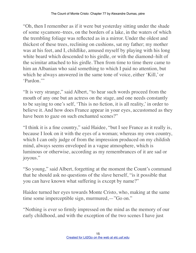"Oh, then I remember as if it were but yesterday sitting under the shade of some sycamore–trees, on the borders of a lake, in the waters of which the trembling foliage was reflected as in a mirror. Under the oldest and thickest of these trees, reclining on cushions, sat my father; my mother was at his feet, and I, childlike, amused myself by playing with his long white beard which descended to his girdle, or with the diamond–hilt of the scimitar attached to his girdle. Then from time to time there came to him an Albanian who said something to which I paid no attention, but which he always answered in the same tone of voice, either 'Kill,' or 'Pardon.'"

"It is very strange," said Albert, "to hear such words proceed from the mouth of any one but an actress on the stage, and one needs constantly to be saying to one's self, 'This is no fiction, it is all reality,' in order to believe it. And how does France appear in your eyes, accustomed as they have been to gaze on such enchanted scenes?"

"I think it is a fine country," said Haidee, "but I see France as it really is, because I look on it with the eyes of a woman; whereas my own country, which I can only judge of from the impression produced on my childish mind, always seems enveloped in a vague atmosphere, which is luminous or otherwise, according as my remembrances of it are sad or joyous."

"So young," said Albert, forgetting at the moment the Count's command that he should ask no questions of the slave herself, "is it possible that you can have known what suffering is except by name?"

Haidee turned her eyes towards Monte Cristo, who, making at the same time some imperceptible sign, murmured,—"Go on."

"Nothing is ever so firmly impressed on the mind as the memory of our early childhood, and with the exception of the two scenes I have just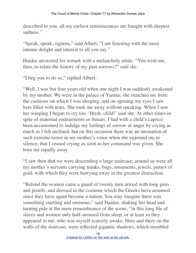described to you, all my earliest reminiscences are fraught with deepest sadness."

"Speak, speak, signora," said Albert, "I am listening with the most intense delight and interest to all you say."

Haidee answered his remark with a melancholy smile. "You wish me, then, to relate the history of my past sorrows?" said she.

"I beg you to do so," replied Albert.

"Well, I was but four years old when one night I was suddenly awakened by my mother. We were in the palace of Yanina; she snatched me from the cushions on which I was sleeping, and on opening my eyes I saw hers filled with tears. She took me away without speaking. When I saw her weeping I began to cry too. 'Hush, child!' said she. At other times in spite of maternal endearments or threats, I had with a child's caprice been accustomed to indulge my feelings of sorrow or anger by crying as much as I felt inclined; but on this occasion there was an intonation of such extreme terror in my mother's voice when she enjoined me to silence, that I ceased crying as soon as her command was given. She bore me rapidly away.

"I saw then that we were descending a large staircase; around us were all my mother's servants carrying trunks, bags, ornaments, jewels, purses of gold, with which they were hurrying away in the greatest distraction.

"Behind the women came a guard of twenty men armed with long guns and pistols, and dressed in the costume which the Greeks have assumed since they have again become a nation. You may imagine there was something startling and ominous," said Haidee, shaking her head and turning pale at the mere remembrance of the scene, "in this long file of slaves and women only half–aroused from sleep, or at least so they appeared to me, who was myself scarcely awake. Here and there on the walls of the staircase, were reflected gigantic shadows, which trembled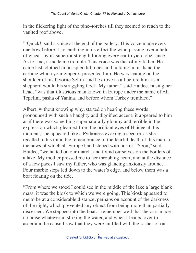in the flickering light of the pine–torches till they seemed to reach to the vaulted roof above.

"'Quick!' said a voice at the end of the gallery. This voice made every one bow before it, resembling in its effect the wind passing over a field of wheat, by its superior strength forcing every ear to yield obeisance. As for me, it made me tremble. This voice was that of my father. He came last, clothed in his splendid robes and holding in his hand the carbine which your emperor presented him. He was leaning on the shoulder of his favorite Selim, and he drove us all before him, as a shepherd would his straggling flock. My father," said Haidee, raising her head, "was that illustrious man known in Europe under the name of Ali Tepelini, pasha of Yanina, and before whom Turkey trembled."

Albert, without knowing why, started on hearing these words pronounced with such a haughty and dignified accent; it appeared to him as if there was something supernaturally gloomy and terrible in the expression which gleamed from the brilliant eyes of Haidee at this moment; she appeared like a Pythoness evoking a spectre, as she recalled to his mind the remembrance of the fearful death of this man, to the news of which all Europe had listened with horror. "Soon," said Haidee, "we halted on our march, and found ourselves on the borders of a lake. My mother pressed me to her throbbing heart, and at the distance of a few paces I saw my father, who was glancing anxiously around. Four marble steps led down to the water's edge, and below them was a boat floating on the tide.

"From where we stood I could see in the middle of the lake a large blank mass; it was the kiosk to which we were going. This kiosk appeared to me to be at a considerable distance, perhaps on account of the darkness of the night, which prevented any object from being more than partially discerned. We stepped into the boat. I remember well that the oars made no noise whatever in striking the water, and when I leaned over to ascertain the cause I saw that they were muffled with the sashes of our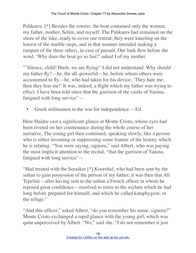Palikares. [\*] Besides the rowers, the boat contained only the women, my father, mother, Selim, and myself. The Palikares had remained on the shore of the lake, ready to cover our retreat; they were kneeling on the lowest of the marble steps, and in that manner intended making a rampart of the three others, in case of pursuit. Our bark flew before the wind. 'Why does the boat go so fast?' asked I of my mother.

"'Silence, child! Hush, we are flying!' I did not understand. Why should my father fly?—he, the all–powerful—he, before whom others were accustomed to fly—he, who had taken for his device, 'They hate me; then they fear me!' It was, indeed, a flight which my father was trying to effect. I have been told since that the garrison of the castle of Yanina, fatigued with long service"—

• Greek militiamen in the war for independence.—Ed.

Here Haidee cast a significant glance at Monte Cristo, whose eyes had been riveted on her countenance during the whole course of her narrative. The young girl then continued, speaking slowly, like a person who is either inventing or suppressing some feature of the history which he is relating. "You were saying, signora," said Albert, who was paying the most implicit attention to the recital, "that the garrison of Yanina, fatigued with long service"—

"Had treated with the Serasker [\*] Koorshid, who had been sent by the sultan to gain possession of the person of my father; it was then that Ali Tepelini—after having sent to the sultan a French officer in whom he reposed great confidence—resolved to retire to the asylum which he had long before prepared for himself, and which he called kataphygion, or the refuge."

"And this officer," asked Albert, "do you remember his name, signora?" Monte Cristo exchanged a rapid glance with the young girl, which was quite unperceived by Albert. "No," said she, "I do not remember it just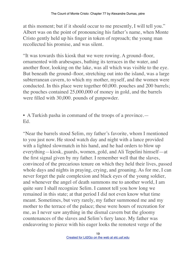at this moment; but if it should occur to me presently, I will tell you." Albert was on the point of pronouncing his father's name, when Monte Cristo gently held up his finger in token of reproach; the young man recollected his promise, and was silent.

"It was towards this kiosk that we were rowing. A ground–floor, ornamented with arabesques, bathing its terraces in the water, and another floor, looking on the lake, was all which was visible to the eye. But beneath the ground–floor, stretching out into the island, was a large subterranean cavern, to which my mother, myself, and the women were conducted. In this place were together 60,000. pouches and 200 barrels; the pouches contained 25,000,000 of money in gold, and the barrels were filled with 30,000. pounds of gunpowder.

• A Turkish pasha in command of the troops of a province.— Ed.

"Near the barrels stood Selim, my father's favorite, whom I mentioned to you just now. He stood watch day and night with a lance provided with a lighted slowmatch in his hand, and he had orders to blow up everything—kiosk, guards, women, gold, and Ali Tepelini himself—at the first signal given by my father. I remember well that the slaves, convinced of the precarious tenure on which they held their lives, passed whole days and nights in praying, crying, and groaning. As for me, I can never forget the pale complexion and black eyes of the young soldier, and whenever the angel of death summons me to another world, I am quite sure I shall recognize Selim. I cannot tell you how long we remained in this state; at that period I did not even know what time meant. Sometimes, but very rarely, my father summoned me and my mother to the terrace of the palace; these were hours of recreation for me, as I never saw anything in the dismal cavern but the gloomy countenances of the slaves and Selim's fiery lance. My father was endeavoring to pierce with his eager looks the remotest verge of the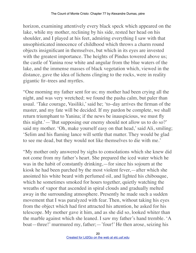horizon, examining attentively every black speck which appeared on the lake, while my mother, reclining by his side, rested her head on his shoulder, and I played at his feet, admiring everything I saw with that unsophisticated innocence of childhood which throws a charm round objects insignificant in themselves, but which in its eyes are invested with the greatest importance. The heights of Pindus towered above us; the castle of Yanina rose white and angular from the blue waters of the lake, and the immense masses of black vegetation which, viewed in the distance, gave the idea of lichens clinging to the rocks, were in reality gigantic fir–trees and myrtles.

"One morning my father sent for us; my mother had been crying all the night, and was very wretched; we found the pasha calm, but paler than usual. 'Take courage, Vasiliki,' said he; 'to–day arrives the firman of the master, and my fate will be decided. If my pardon be complete, we shall return triumphant to Yanina; if the news be inauspicious, we must fly this night.'—'But supposing our enemy should not allow us to do so?' said my mother. 'Oh, make yourself easy on that head,' said Ali, smiling; 'Selim and his flaming lance will settle that matter. They would be glad to see me dead, but they would not like themselves to die with me.'

"My mother only answered by sighs to consolations which she knew did not come from my father's heart. She prepared the iced water which he was in the habit of constantly drinking,—for since his sojourn at the kiosk he had been parched by the most violent fever,—after which she anointed his white beard with perfumed oil, and lighted his chibouque, which he sometimes smoked for hours together, quietly watching the wreaths of vapor that ascended in spiral clouds and gradually melted away in the surrounding atmosphere. Presently he made such a sudden movement that I was paralyzed with fear. Then, without taking his eyes from the object which had first attracted his attention, he asked for his telescope. My mother gave it him, and as she did so, looked whiter than the marble against which she leaned. I saw my father's hand tremble. 'A boat—three!' murmured my, father;—'four!' He then arose, seizing his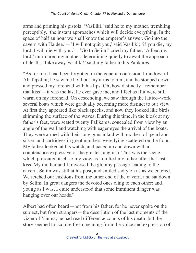arms and priming his pistols. 'Vasiliki,' said he to my mother, trembling perceptibly, 'the instant approaches which will decide everything. In the space of half an hour we shall know the emperor's answer. Go into the cavern with Haidee.'—'I will not quit you,' said Vasiliki; 'if you die, my lord, I will die with you.'—'Go to Selim!' cried my father. 'Adieu, my lord,' murmured my mother, determining quietly to await the approach of death. 'Take away Vasiliki!' said my father to his Palikares.

"As for me, I had been forgotten in the general confusion; I ran toward Ali Tepelini; he saw me hold out my arms to him, and he stooped down and pressed my forehead with his lips. Oh, how distinctly I remember that kiss!—it was the last he ever gave me, and I feel as if it were still warm on my forehead. On descending, we saw through the lattice–work several boats which were gradually becoming more distinct to our view. At first they appeared like black specks, and now they looked like birds skimming the surface of the waves. During this time, in the kiosk at my father's feet, were seated twenty Palikares, concealed from view by an angle of the wall and watching with eager eyes the arrival of the boats. They were armed with their long guns inlaid with mother–of–pearl and silver, and cartridges in great numbers were lying scattered on the floor. My father looked at his watch, and paced up and down with a countenance expressive of the greatest anguish. This was the scene which presented itself to my view as I quitted my father after that last kiss. My mother and I traversed the gloomy passage leading to the cavern. Selim was still at his post, and smiled sadly on us as we entered. We fetched our cushions from the other end of the cavern, and sat down by Selim. In great dangers the devoted ones cling to each other; and, young as I was, I quite understood that some imminent danger was hanging over our heads."

Albert had often heard—not from his father, for he never spoke on the subject, but from strangers—the description of the last moments of the vizier of Yanina; he had read different accounts of his death, but the story seemed to acquire fresh meaning from the voice and expression of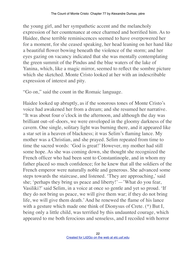the young girl, and her sympathetic accent and the melancholy expression of her countenance at once charmed and horrified him. As to Haidee, these terrible reminiscences seemed to have overpowered her for a moment, for she ceased speaking, her head leaning on her hand like a beautiful flower bowing beneath the violence of the storm; and her eyes gazing on vacancy indicated that she was mentally contemplating the green summit of the Pindus and the blue waters of the lake of Yanina, which, like a magic mirror, seemed to reflect the sombre picture which she sketched. Monte Cristo looked at her with an indescribable expression of interest and pity.

"Go on," said the count in the Romaic language.

Haidee looked up abruptly, as if the sonorous tones of Monte Cristo's voice had awakened her from a dream; and she resumed her narrative. "It was about four o'clock in the afternoon, and although the day was brilliant out–of–doors, we were enveloped in the gloomy darkness of the cavern. One single, solitary light was burning there, and it appeared like a star set in a heaven of blackness; it was Selim's flaming lance. My mother was a Christian, and she prayed. Selim repeated from time to time the sacred words: 'God is great!' However, my mother had still some hope. As she was coming down, she thought she recognized the French officer who had been sent to Constantinople, and in whom my father placed so much confidence; for he knew that all the soldiers of the French emperor were naturally noble and generous. She advanced some steps towards the staircase, and listened. 'They are approaching,' said she; 'perhaps they bring us peace and liberty!'—'What do you fear, Vasiliki?' said Selim, in a voice at once so gentle and yet so proud. 'If they do not bring us peace, we will give them war; if they do not bring life, we will give them death.' And he renewed the flame of his lance with a gesture which made one think of Dionysus of Crete. (\*) But I, being only a little child, was terrified by this undaunted courage, which appeared to me both ferocious and senseless, and I recoiled with horror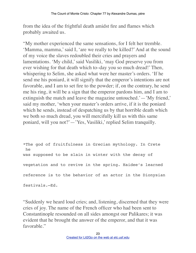from the idea of the frightful death amidst fire and flames which probably awaited us.

"My mother experienced the same sensations, for I felt her tremble. 'Mamma, mamma,' said I, 'are we really to be killed?' And at the sound of my voice the slaves redoubled their cries and prayers and lamentations. 'My child,' said Vasiliki, 'may God preserve you from ever wishing for that death which to–day you so much dread!' Then, whispering to Selim, she asked what were her master's orders. 'If he send me his poniard, it will signify that the emperor's intentions are not favorable, and I am to set fire to the powder; if, on the contrary, he send me his ring, it will be a sign that the emperor pardons him, and I am to extinguish the match and leave the magazine untouched.'—'My friend,' said my mother, 'when your master's orders arrive, if it is the poniard which he sends, instead of despatching us by that horrible death which we both so much dread, you will mercifully kill us with this same poniard, will you not?'—'Yes, Vasiliki,' replied Selim tranquilly.

\*The god of fruitfulness in Grecian mythology. In Crete he was supposed to be slain in winter with the decay of vegetation and to revive in the spring. Haidee's learned reference is to the behavior of an actor in the Dionysian festivals.—Ed.

"Suddenly we heard loud cries; and, listening, discerned that they were cries of joy. The name of the French officer who had been sent to Constantinople resounded on all sides amongst our Palikares; it was evident that he brought the answer of the emperor, and that it was favorable."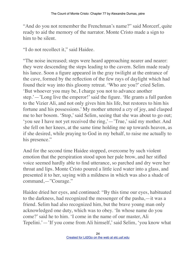"And do you not remember the Frenchman's name?" said Morcerf, quite ready to aid the memory of the narrator. Monte Cristo made a sign to him to be silent.

"I do not recollect it," said Haidee.

"The noise increased; steps were heard approaching nearer and nearer: they were descending the steps leading to the cavern. Selim made ready his lance. Soon a figure appeared in the gray twilight at the entrance of the cave, formed by the reflection of the few rays of daylight which had found their way into this gloomy retreat. 'Who are you?' cried Selim. 'But whoever you may be, I charge you not to advance another step.'—'Long live the emperor!' said the figure. 'He grants a full pardon to the Vizier Ali, and not only gives him his life, but restores to him his fortune and his possessions.' My mother uttered a cry of joy, and clasped me to her bosom. 'Stop,' said Selim, seeing that she was about to go out; 'you see I have not yet received the ring,'—'True,' said my mother. And she fell on her knees, at the same time holding me up towards heaven, as if she desired, while praying to God in my behalf, to raise me actually to his presence."

And for the second time Haidee stopped, overcome by such violent emotion that the perspiration stood upon her pale brow, and her stifled voice seemed hardly able to find utterance, so parched and dry were her throat and lips. Monte Cristo poured a little iced water into a glass, and presented it to her, saying with a mildness in which was also a shade of command,—"Courage."

Haidee dried her eyes, and continued: "By this time our eyes, habituated to the darkness, had recognized the messenger of the pasha,—it was a friend. Selim had also recognized him, but the brave young man only acknowledged one duty, which was to obey. 'In whose name do you come?' said he to him. 'I come in the name of our master, Ali Tepelini.'—'If you come from Ali himself,' said Selim, 'you know what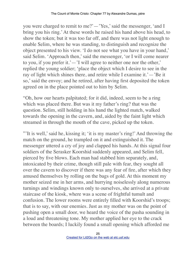you were charged to remit to me?'—'Yes,' said the messenger, 'and I bring you his ring.' At these words he raised his hand above his head, to show the token; but it was too far off, and there was not light enough to enable Selim, where he was standing, to distinguish and recognize the object presented to his view. 'I do not see what you have in your hand,' said Selim. 'Approach then,' said the messenger, 'or I will come nearer to you, if you prefer it.'—'I will agree to neither one nor the other,' replied the young soldier; 'place the object which I desire to see in the ray of light which shines there, and retire while I examine it.'—'Be it so,' said the envoy; and he retired, after having first deposited the token agreed on in the place pointed out to him by Selim.

"Oh, how our hearts palpitated; for it did, indeed, seem to be a ring which was placed there. But was it my father's ring? that was the question. Selim, still holding in his hand the lighted match, walked towards the opening in the cavern, and, aided by the faint light which streamed in through the mouth of the cave, picked up the token.

"'It is well,' said he, kissing it; 'it is my master's ring!' And throwing the match on the ground, he trampled on it and extinguished it. The messenger uttered a cry of joy and clapped his hands. At this signal four soldiers of the Serasker Koorshid suddenly appeared, and Selim fell, pierced by five blows. Each man had stabbed him separately, and, intoxicated by their crime, though still pale with fear, they sought all over the cavern to discover if there was any fear of fire, after which they amused themselves by rolling on the bags of gold. At this moment my mother seized me in her arms, and hurrying noiselessly along numerous turnings and windings known only to ourselves, she arrived at a private staircase of the kiosk, where was a scene of frightful tumult and confusion. The lower rooms were entirely filled with Koorshid's troops; that is to say, with our enemies. Just as my mother was on the point of pushing open a small door, we heard the voice of the pasha sounding in a loud and threatening tone. My mother applied her eye to the crack between the boards; I luckily found a small opening which afforded me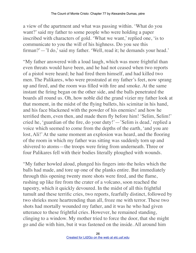a view of the apartment and what was passing within. 'What do you want?' said my father to some people who were holding a paper inscribed with characters of gold. 'What we want,' replied one, 'is to communicate to you the will of his highness. Do you see this firman?'—'I do,' said my father. 'Well, read it; he demands your head.'

"My father answered with a loud laugh, which was more frightful than even threats would have been, and he had not ceased when two reports of a pistol were heard; he had fired them himself, and had killed two men. The Palikares, who were prostrated at my father's feet, now sprang up and fired, and the room was filled with fire and smoke. At the same instant the firing began on the other side, and the balls penetrated the boards all round us. Oh, how noble did the grand vizier my father look at that moment, in the midst of the flying bullets, his scimitar in his hand, and his face blackened with the powder of his enemies! and how he terrified them, even then, and made them fly before him! 'Selim, Selim!' cried he, 'guardian of the fire, do your duty!'—'Selim is dead,' replied a voice which seemed to come from the depths of the earth, 'and you are lost, Ali!' At the same moment an explosion was heard, and the flooring of the room in which my father was sitting was suddenly torn up and shivered to atoms—the troops were firing from underneath. Three or four Palikares fell with their bodies literally ploughed with wounds.

"My father howled aloud, plunged his fingers into the holes which the balls had made, and tore up one of the planks entire. But immediately through this opening twenty more shots were fired, and the flame, rushing up like fire from the crater of a volcano, soon reached the tapestry, which it quickly devoured. In the midst of all this frightful tumult and these terrific cries, two reports, fearfully distinct, followed by two shrieks more heartrending than all, froze me with terror. These two shots had mortally wounded my father, and it was he who had given utterance to these frightful cries. However, he remained standing, clinging to a window. My mother tried to force the door, that she might go and die with him, but it was fastened on the inside. All around him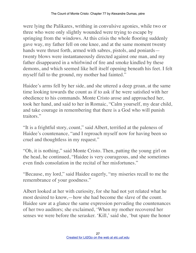were lying the Palikares, writhing in convulsive agonies, while two or three who were only slightly wounded were trying to escape by springing from the windows. At this crisis the whole flooring suddenly gave way, my father fell on one knee, and at the same moment twenty hands were thrust forth, armed with sabres, pistols, and poniards twenty blows were instantaneously directed against one man, and my father disappeared in a whirlwind of fire and smoke kindled by these demons, and which seemed like hell itself opening beneath his feet. I felt myself fall to the ground, my mother had fainted."

Haidee's arms fell by her side, and she uttered a deep groan, at the same time looking towards the count as if to ask if he were satisfied with her obedience to his commands. Monte Cristo arose and approached her, took her hand, and said to her in Romaic, "Calm yourself, my dear child, and take courage in remembering that there is a God who will punish traitors."

"It is a frightful story, count," said Albert, terrified at the paleness of Haidee's countenance, "and I reproach myself now for having been so cruel and thoughtless in my request."

"Oh, it is nothing," said Monte Cristo. Then, patting the young girl on the head, he continued, "Haidee is very courageous, and she sometimes even finds consolation in the recital of her misfortunes."

"Because, my lord," said Haidee eagerly, "my miseries recall to me the remembrance of your goodness."

Albert looked at her with curiosity, for she had not yet related what he most desired to know,—how she had become the slave of the count. Haidee saw at a glance the same expression pervading the countenances of her two auditors; she exclaimed, 'When my mother recovered her senses we were before the serasker. 'Kill,' said she, 'but spare the honor